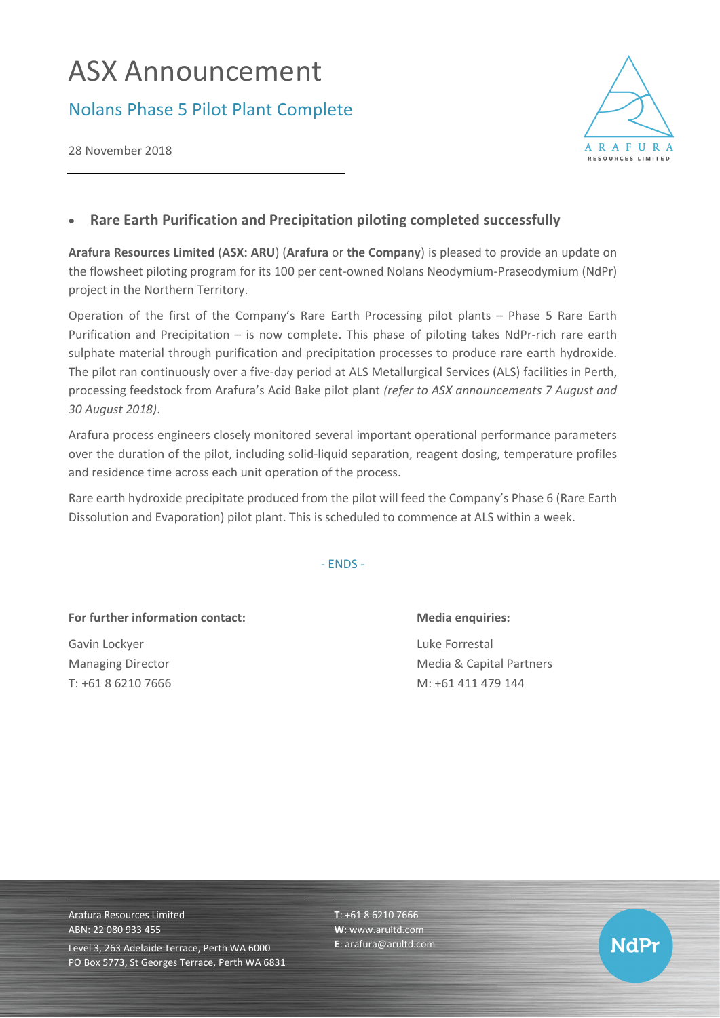## ASX Announcement

## Nolans Phase 5 Pilot Plant Complete

28 November 2018



## • **Rare Earth Purification and Precipitation piloting completed successfully**

**Arafura Resources Limited** (**ASX: ARU**) (**Arafura** or **the Company**) is pleased to provide an update on the flowsheet piloting program for its 100 per cent-owned Nolans Neodymium-Praseodymium (NdPr) project in the Northern Territory.

Operation of the first of the Company's Rare Earth Processing pilot plants – Phase 5 Rare Earth Purification and Precipitation – is now complete. This phase of piloting takes NdPr-rich rare earth sulphate material through purification and precipitation processes to produce rare earth hydroxide. The pilot ran continuously over a five-day period at ALS Metallurgical Services (ALS) facilities in Perth, processing feedstock from Arafura's Acid Bake pilot plant *(refer to ASX announcements 7 August and 30 August 2018)*.

Arafura process engineers closely monitored several important operational performance parameters over the duration of the pilot, including solid-liquid separation, reagent dosing, temperature profiles and residence time across each unit operation of the process.

Rare earth hydroxide precipitate produced from the pilot will feed the Company's Phase 6 (Rare Earth Dissolution and Evaporation) pilot plant. This is scheduled to commence at ALS within a week.

- ENDS -

For further information contact: Media enquiries:

Gavin Lockyer **Luke Forrestal** 

Managing Director **Media & Capital Partners** Media & Capital Partners T: +61 8 6210 7666 M: +61 411 479 144

Arafura Resources Limited ABN: 22 080 933 455 Level 3, 263 Adelaide Terrace, Perth WA 6000 PO Box 5773, St Georges Terrace, Perth WA 6831 **T**: +61 8 6210 7666 **W**: [www.arultd.com](http://www.arultd.com/) **E**[: arafura@arultd.com](mailto:arafura@arultd.com)

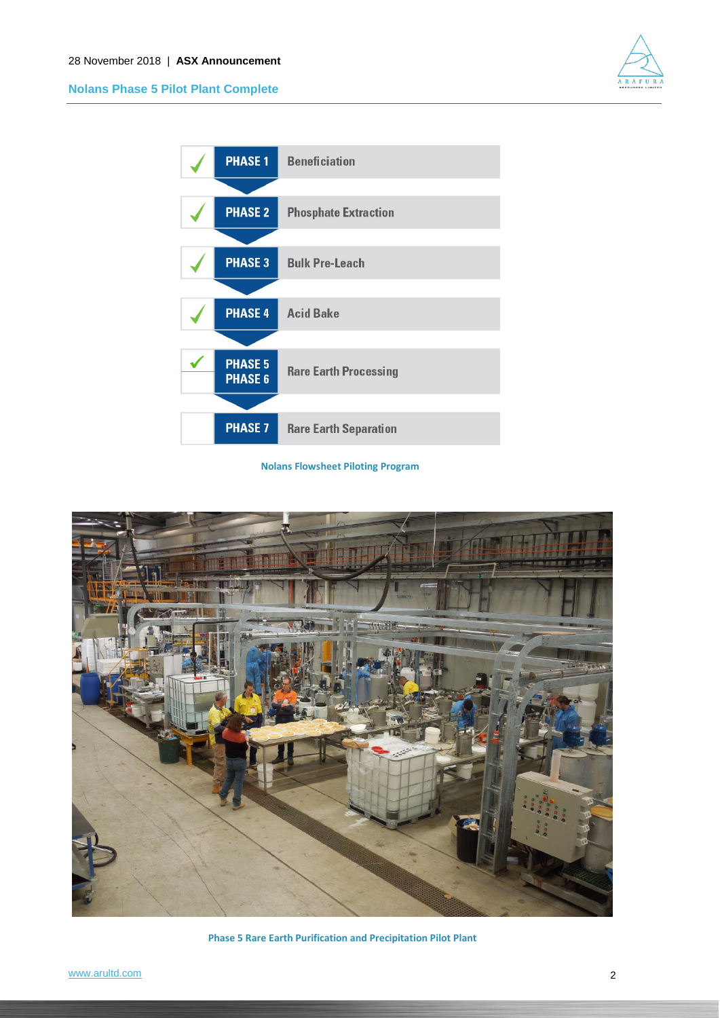

**Nolans Phase 5 Pilot Plant Complete**



**Nolans Flowsheet Piloting Program**



**Phase 5 Rare Earth Purification and Precipitation Pilot Plant**